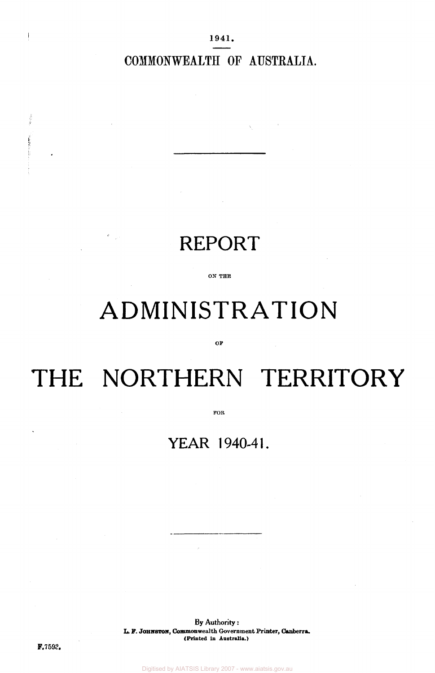1941 .

### REPORT

**ON THE** 

# ADMINISTRATION

**OF** 

## THE NORTHERN TERRITORY

**FOR** 

### **YEAR 1940-41.**

By Authority: **L. F. JOHNSTON, Commonwealth Government Printer, Canberra. (Printed In Australia.)** 

F.7593.

 $\mathbf{\i}$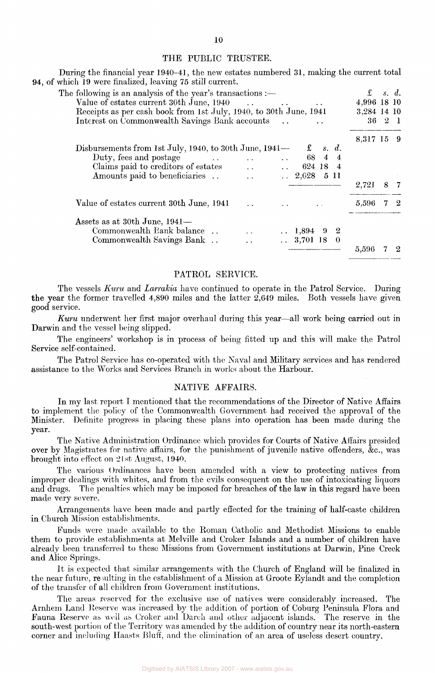#### THE PUBLIC TRUSTEE.

During the financial year 1940-41, the new estates numbered 31, making the current total 94, of which 19 were finalized, leaving 75 still current.

| The following is an analysis of the year's transactions :—                                            |                     | £           |              | s. d.       |
|-------------------------------------------------------------------------------------------------------|---------------------|-------------|--------------|-------------|
| Value of estates current 30th June, 1940<br>$\sim$ 100 $\sim$                                         |                     | 4,996 18 10 |              |             |
| Receipts as per cash book from 1st July, 1940, to 30th June, 1941                                     |                     | 3,284 14 10 |              |             |
| Interest on Commonwealth Savings Bank accounts<br>$\dddot{\phantom{1}}$                               |                     | 36 -        | $\mathbf{2}$ | - 1         |
|                                                                                                       |                     | 8,317 15    |              | - 9         |
| Disbursements from 1st July, 1940, to 30th June, 1941—<br>$\mathbf f$                                 | s. d.               |             |              |             |
| Duty, fees and postage<br>68 -<br>$\mathbf{v}$ , $\mathbf{v}$ , $\mathbf{v}$ , $\mathbf{v}$           | $\overline{4}$<br>4 |             |              |             |
| Claims paid to creditors of estates<br>$\ldots$ 624 18 4<br>$\mathbf{L}(\mathbf{r})$ and $\mathbf{r}$ |                     |             |              |             |
| Amounts paid to beneficiaries<br>$2,028$ 5 11                                                         |                     |             |              |             |
|                                                                                                       |                     | 2.721       | 8            |             |
| Value of estates current 30th June, 1941                                                              |                     | 5,596       | 7            | $^{\circ}2$ |
| Assets as at 30th June, 1941—                                                                         |                     |             |              |             |
| Commonwealth Bank balance<br>$\therefore$ 1,894 9 2<br>$\sim$ $\sim$                                  |                     |             |              |             |
| Commonwealth Savings Bank<br>$\ldots$ 3,701 18 0                                                      |                     |             |              |             |
|                                                                                                       |                     | 5,596       |              | 2           |

#### PATROL SERVICE.

The vessels *Kuru* and *Larrakia* have continued to operate in the Patrol Service. During the year the former travelled 4,890 miles and the latter  $2,649$  miles. Both vessels have given good service.

*Kuru* underwent her first major overhaul during this year—all work being carried out in Darwin and the vessel being slipped.

The engineers' workshop is in process of being fitted up and this will make the Patrol Service self-contained.

The Patrol Service has co-operated with the Naval and Military services and has rendered assistance to the Works and Services Branch in works about the Harbour.

#### NATIVE AFFAIRS.

In my last report I mentioned that the recommendations of the Director of Native Affairs to implement the policy of the Commonwealth Government had received the approval of the Minister. Definite progress in placing these plans into operation has been made during the year.

The Native Administration Ordinance which provides for Courts of Native Affairs presided over by Magistrates for native affairs, for the punishment of juvenile native offenders, &c, was brought into effect on 21st August, 1940.

The various Ordinances have been amended with a view to protecting natives from improper dealings with whites, and from the evils consequent on the use of intoxicating liquors and drugs. The penalties which may be imposed for breaches of the law in this regard have been made very severe.

Arrangements have been made and partly effected for the training of half-caste children in Church Mission establishments.

Funds were made available to the Roman Catholic and Methodist Missions to enable them to provide establishments at Melville and Croker Islands and a number of children have already been transferred to these Missions from Government institutions at Darwin, Pine Creek and Alice Springs.

It is expected that similar arrangements with the Church of England will be finalized in the near future, re suiting in the establishment of a Mission at Groote Eylandt and the completion of the transfer of all children from Government institutions.

The areas reserved for the exclusive use of natives were considerably increased. The Arnhem Land Reserve was increased by the addition of portion of Coburg Peninsula Flora and Fauna Reserve as well as Croker and Darch and other adjacent islands. The reserve in the south-west portion of the Territory was amended by the addition of country near its north-eastern corner and including Haasts Bluff, and the elimination of an area of useless desert country.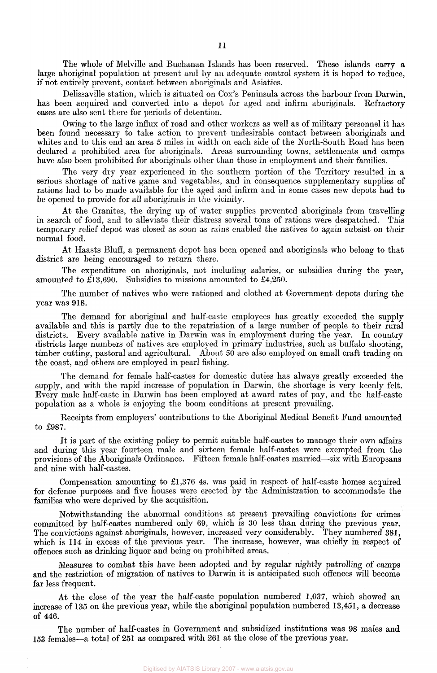The whole of Melville and Buchanan Islands has been reserved. These islands carry a large aboriginal population at present and by an adequate control system it is hoped to reduce, if not entirely prevent, contact between aboriginals and Asiatics.

Delissaville station, which is situated on Cox's Peninsula across the harbour from Darwin, has been acquired and converted into a depot for aged and infirm aboriginals. Refractory cases are also sent there for periods of detention.

Owing to the large influx of road and other workers as well as of military personnel it has been found necessary to take action to prevent undesirable contact between aboriginals and whites and to this end an area 5 miles in width on each side of the North-South Road has been declared a prohibited area for aboriginals. Areas surrounding towns, settlements and camps have also been prohibited for aboriginals other than those in employment and their families.

The very dry year experienced in the southern portion of the Territory resulted in a serious shortage of native game and vegetables, and in consequence supplementary supplies of rations had to be made available for the aged and infirm and in some cases new depots had to be opened to provide for all aboriginals in the vicinity.

At the Granites, the drying up of water supplies prevented aboriginals from travelling in search of food, and to alleviate their distress several tons of rations were despatched. This temporary relief depot was closed as soon as rains enabled the natives to again subsist on their normal food.

At Haasts Bluff, a permanent depot has been opened and aboriginals who belong to that district are being encouraged to return there.

The expenditure on aboriginals, not including salaries, or subsidies during the year, amounted to £13,690. Subsidies to missions amounted to £4,250.

The number of natives who were rationed and clothed at Government depots during the year was 918.

The demand for aboriginal and half-caste employees has greatly exceeded the supply available and this is partly due to the repatriation of a large number of people to their rural districts. Every available native in Darwin was in employment during the year. In country districts large numbers of natives are employed in primary industries, such as buffalo shooting, timber cutting, pastoral and agricultural. About 50 are also employed on small craft trading on the coast, and others are employed in pearl fishing.

The demand for female half-castes for domestic duties has always greatly exceeded the supply, and with the rapid increase of population in Darwin, the shortage is very keenly felt. Every male half-caste in Darwin has been employed at award rates of pay, and the half-caste population as a whole is enjoying the boom conditions at present prevailing.

Receipts from employers' contributions to the Aboriginal Medical Benefit Fund amounted to £987.

It is part of the existing policy to permit suitable half-castes to manage their own affairs and during this year fourteen male and sixteen female half-castes were exempted from the provisions of the Aboriginals Ordinance. Fifteen female half-castes married—six with Europeans and nine with half-castes.

Compensation amounting to £1,376 4s. was paid in respect of half-caste homes acquired for defence purposes and five houses were erected by the Administration to accommodate the families who were deprived by the acquisition.

Notwithstanding the abnormal conditions at present prevailing convictions for crimes committed by half-castes numbered only 69, which is 30 less than during the previous year. The convictions against aboriginals, however, increased very considerably. They numbered 381, which is 114 in excess of the previous year. The increase, however, was chiefly in respect of offences such as drinking liquor and being on prohibited areas.

Measures to combat this have been adopted and by regular nightly patrolling of camps and the restriction of migration of natives to Darwin it is anticipated such offences will become far less frequent.

At the close of the year the half-caste population numbered 1,037, which showed an increase of 135 on the previous year, while the aboriginal population numbered 13,451, a decrease of 446.

The number of half-castes in Government and subsidized institutions was 98 males and 153 females—a total of 251 as compared with 261 at the close of the previous year.